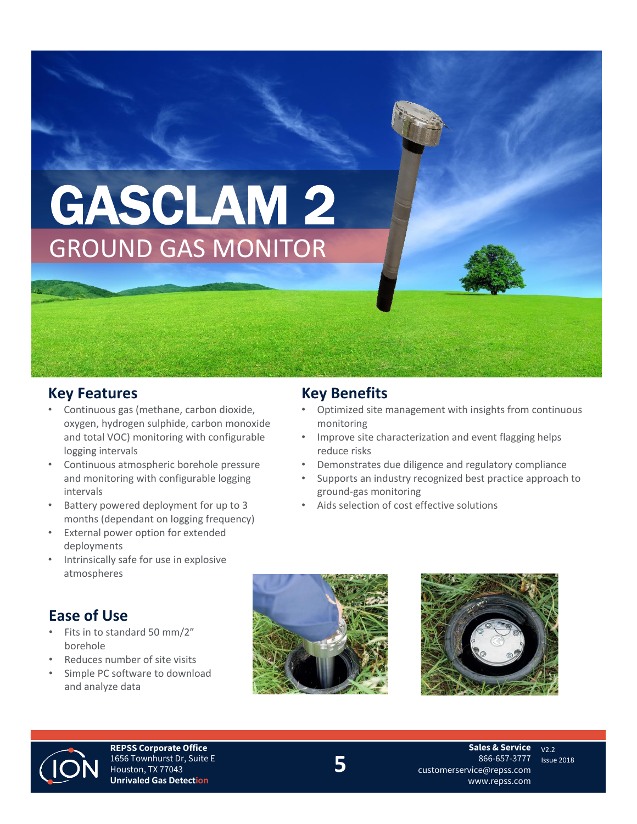# GASCLAM 2 GROUND GAS MONITOR

## **Key Features**

- Continuous gas (methane, carbon dioxide, oxygen, hydrogen sulphide, carbon monoxide and total VOC) monitoring with configurable logging intervals
- Continuous atmospheric borehole pressure and monitoring with configurable logging intervals
- Battery powered deployment for up to 3 months (dependant on logging frequency)
- External power option for extended deployments
- Intrinsically safe for use in explosive atmospheres

## **Ease of Use**

- Fits in to standard 50 mm/2" borehole
- Reduces number of site visits
- Simple PC software to download and analyze data

## **Key Benefits**

- Optimized site management with insights from continuous monitoring
- Improve site characterization and event flagging helps reduce risks
- Demonstrates due diligence and regulatory compliance
- Supports an industry recognized best practice approach to ground-gas monitoring
- Aids selection of cost effective solutions







**REPSS Corporate Office** 1656 Townhurst Dr, Suite E Houston, TX 77043 **Unrivaled Gas Detection**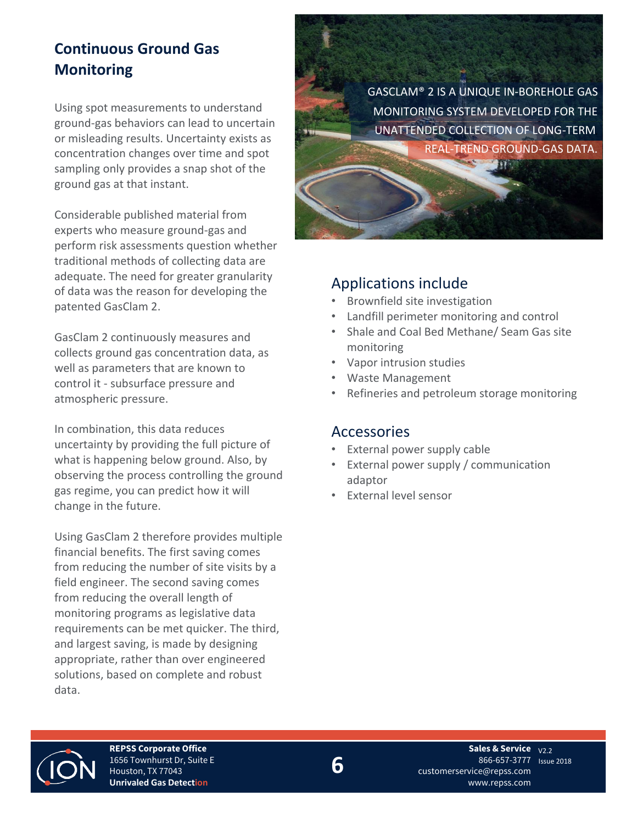# **Continuous Ground Gas Monitoring**

Using spot measurements to understand ground-gas behaviors can lead to uncertain or misleading results. Uncertainty exists as concentration changes over time and spot sampling only provides a snap shot of the ground gas at that instant.

Considerable published material from experts who measure ground-gas and perform risk assessments question whether traditional methods of collecting data are adequate. The need for greater granularity of data was the reason for developing the patented GasClam 2.

GasClam 2 continuously measures and collects ground gas concentration data, as well as parameters that are known to control it - subsurface pressure and atmospheric pressure.

In combination, this data reduces uncertainty by providing the full picture of what is happening below ground. Also, by observing the process controlling the ground gas regime, you can predict how it will change in the future.

Using GasClam 2 therefore provides multiple financial benefits. The first saving comes from reducing the number of site visits by a field engineer. The second saving comes from reducing the overall length of monitoring programs as legislative data requirements can be met quicker. The third, and largest saving, is made by designing appropriate, rather than over engineered solutions, based on complete and robust data.

GASCLAM® 2 IS A UNIQUE IN-BOREHOLE GAS MONITORING SYSTEM DEVELOPED FOR THE UNATTENDED COLLECTION OF LONG-TERM, REAL-TREND GROUND-GAS DATA.

#### Applications include

- Brownfield site investigation
- Landfill perimeter monitoring and control
- Shale and Coal Bed Methane/ Seam Gas site monitoring
- Vapor intrusion studies
- Waste Management
- Refineries and petroleum storage monitoring

#### Accessories

- External power supply cable
- External power supply / communication adaptor
- External level sensor



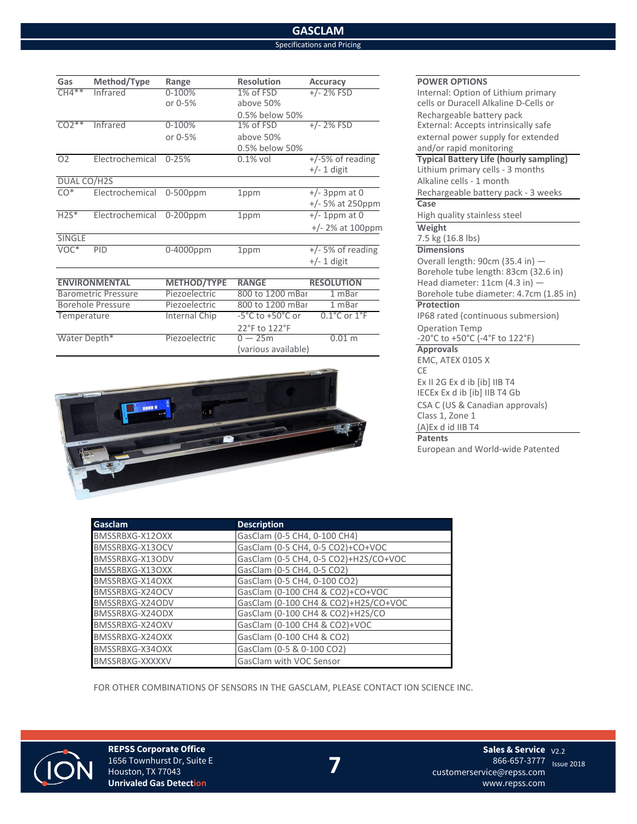#### **GASCLAM** Specifications and Pricing

| Gas                        | Method/Type              | Range              | <b>Resolution</b>                    | <b>Accuracy</b>                  | <b>POWER OPT</b>                 |
|----------------------------|--------------------------|--------------------|--------------------------------------|----------------------------------|----------------------------------|
| $CH4**$                    | Infrared                 | $0 - 100%$         | 1% of FSD                            | $+/- 2\%$ FSD                    | Internal: Op                     |
|                            |                          | or 0-5%            | above 50%                            |                                  | cells or Dura                    |
|                            |                          |                    | 0.5% below 50%                       |                                  | Rechargeab                       |
| $CO2**$                    | Infrared                 | 0-100%             | 1% of FSD                            | $+/- 2\%$ FSD                    | External: Ac                     |
|                            |                          | or 0-5%            | above 50%                            |                                  | external pov                     |
|                            |                          |                    | 0.5% below 50%                       |                                  | and/or rapid                     |
| O <sub>2</sub>             | Electrochemical          | $0 - 25%$          | $0.1\%$ vol                          | $+/-5\%$ of reading              | <b>Typical Batt</b>              |
|                            |                          |                    |                                      | $+/- 1$ digit                    | Lithium prin                     |
| DUAL CO/H2S                |                          |                    |                                      |                                  | Alkaline cell                    |
| $CO*$                      | Electrochemical          | $0-500$ ppm        | 1ppm                                 | $+/-$ 3ppm at 0                  | Rechargeab                       |
|                            |                          |                    |                                      | +/- 5% at 250ppm                 | Case                             |
| $H2S^*$                    | Electrochemical 0-200ppm |                    | 1ppm                                 | $+/- 1$ ppm at 0                 | High quality                     |
|                            |                          |                    |                                      | $+/- 2\%$ at 100ppm              | Weight                           |
| SINGLE                     |                          |                    |                                      |                                  | 7.5 kg (16.8)                    |
| VOC*                       | PID                      | $0-4000$ ppm       | 1ppm                                 | $+/-$ 5% of reading              | <b>Dimensions</b>                |
|                            |                          |                    |                                      | $+/- 1$ digit                    | Overall leng                     |
|                            |                          |                    |                                      |                                  | Borehole tu                      |
| <b>ENVIRONMENTAL</b>       |                          | <b>METHOD/TYPE</b> | <b>RANGE</b>                         | <b>RESOLUTION</b>                | Head diame                       |
| <b>Barometric Pressure</b> |                          | Piezoelectric      | 800 to 1200 mBar                     | 1 mBar                           | Borehole tu                      |
| <b>Borehole Pressure</b>   |                          | Piezoelectric      | 800 to 1200 mBar                     | 1 mBar                           | Protection                       |
| Temperature                |                          | Internal Chip      | $-5^{\circ}$ C to $+50^{\circ}$ C or | $0.1^{\circ}$ C or $1^{\circ}$ F | IP68 rated (                     |
|                            |                          |                    | 22°F to 122°F                        |                                  | Operation T                      |
| Water Depth*               |                          | Piezoelectric      | $0-25m$                              | 0.01 m                           | $-20^{\circ}$ C to $+50^{\circ}$ |



#### **POWER OPTIONS** Internal: Option of Lithium primary cells or Duracell Alkaline D-Cells or Rechargeable battery pack External: Accepts intrinsically safe external power supply for extended and/or rapid monitoring **Typical Battery Life (hourly sampling)** Lithium primary cells - 3 months Alkaline cells - 1 month Rechargeable battery pack - 3 weeks  $\overline{\text{Case}}$ High quality stainless steel  $\overline{\text{Weight}}$ 7.5 kg (16.8 lbs) Overall length: 90cm (35.4 in)  $-$ Borehole tube length: 83cm (32.6 in) **Head diameter: 11cm (4.3 in) —** Borehole tube diameter: 4.7cm (1.85 in)<br>Protection IP68 rated (continuous submersion) Operation Temp  $-20^{\circ}$ C to +50 $^{\circ}$ C (-4 $^{\circ}$ F to 122 $^{\circ}$ F)<br>Approvals EMC, ATEX 0105 X CE Ex II 2G Ex d ib [ib] IIB T4 IECEx Ex d ib [ib] IIB T4 Gb CSA C (US & Canadian approvals) Class 1, Zone 1 (A)Ex d id IIB T4 **Patents** European and World-wide Patented

| <b>Gasclam</b>  | <b>Description</b>                    |
|-----------------|---------------------------------------|
| BMSSRBXG-X12OXX | GasClam (0-5 CH4, 0-100 CH4)          |
| BMSSRBXG-X13OCV | GasClam (0-5 CH4, 0-5 CO2)+CO+VOC     |
| BMSSRBXG-X13ODV | GasClam (0-5 CH4, 0-5 CO2)+H2S/CO+VOC |
| BMSSRBXG-X13OXX | GasClam (0-5 CH4, 0-5 CO2)            |
| BMSSRBXG-X14OXX | GasClam (0-5 CH4, 0-100 CO2)          |
| BMSSRBXG-X24OCV | GasClam (0-100 CH4 & CO2)+CO+VOC      |
| BMSSRBXG-X24ODV | GasClam (0-100 CH4 & CO2)+H2S/CO+VOC  |
| BMSSRBXG-X24ODX | GasClam (0-100 CH4 & CO2)+H2S/CO      |
| BMSSRBXG-X24OXV | GasClam (0-100 CH4 & CO2)+VOC         |
| BMSSRBXG-X24OXX | GasClam (0-100 CH4 & CO2)             |
| BMSSRBXG-X34OXX | GasClam (0-5 & 0-100 CO2)             |
| BMSSRBXG-XXXXXV | GasClam with VOC Sensor               |

(various available)

FOR OTHER COMBINATIONS OF SENSORS IN THE GASCLAM, PLEASE CONTACT ION SCIENCE INC.



**REPSS Corporate Office** 1656 Townhurst Dr, Suite E Houston, TX 77043 **Unrivaled Gas Detection**

**Sales & Service** v<sub>2.2</sub> 866-657-3777 <sub>Issue</sub> 2018 customerservice@repss.com www.repss.com